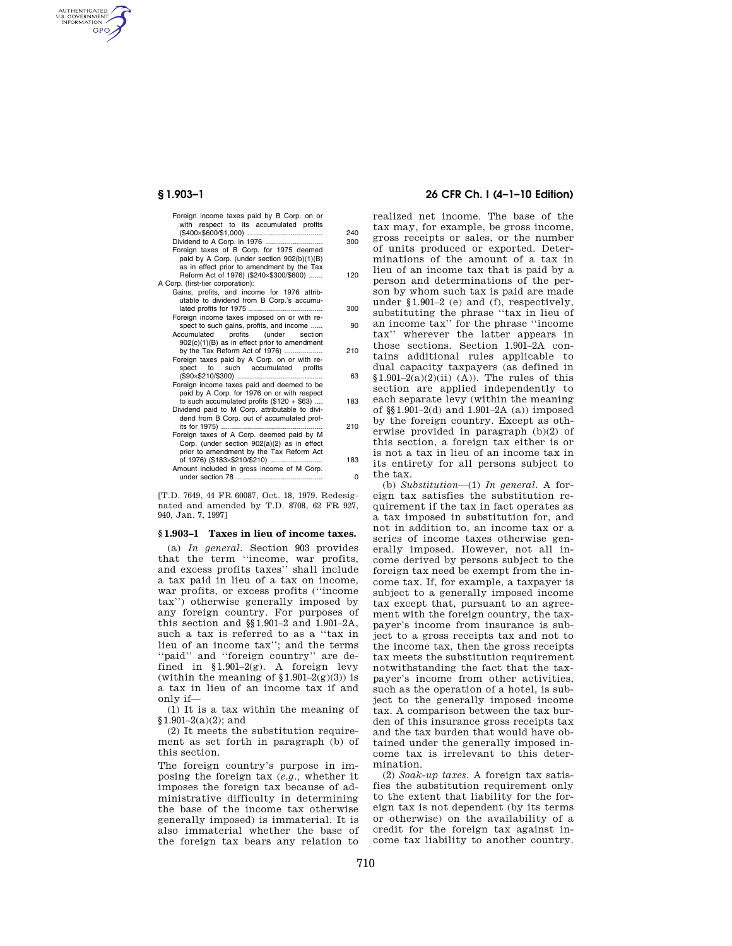AUTHENTICATED<br>U.S. GOVERNMENT<br>INFORMATION **GPO** 

|          | Foreign income taxes paid by B Corp. on or<br>with respect to its accumulated profits          |
|----------|------------------------------------------------------------------------------------------------|
| 240      |                                                                                                |
| 300      | Dividend to A Corp. in 1976                                                                    |
|          | Foreign taxes of B Corp. for 1975 deemed                                                       |
|          | paid by A Corp. (under section 902(b)(1)(B)                                                    |
|          | as in effect prior to amendment by the Tax                                                     |
| 120      | Reform Act of 1976) (\$240×\$300/\$600)                                                        |
|          | A Corp. (first-tier corporation):                                                              |
|          | Gains, profits, and income for 1976 attrib-                                                    |
|          | utable to dividend from B Corp.'s accumu-                                                      |
| 300      | lated profits for 1975                                                                         |
|          | Foreign income taxes imposed on or with re-                                                    |
| 90       | spect to such gains, profits, and income                                                       |
|          | Accumulated profits (under section                                                             |
|          | 902(c)(1)(B) as in effect prior to amendment                                                   |
| 210      | by the Tax Reform Act of 1976)                                                                 |
|          | Foreign taxes paid by A Corp. on or with re-                                                   |
|          | spect to such accumulated profits                                                              |
| 63       |                                                                                                |
|          | Foreign income taxes paid and deemed to be                                                     |
| 183      | paid by A Corp. for 1976 on or with respect                                                    |
|          | to such accumulated profits $(\$120 + \$63)$<br>Dividend paid to M Corp. attributable to divi- |
|          | dend from B Corp. out of accumulated prof-                                                     |
| 210      | its for 1975)                                                                                  |
|          | Foreign taxes of A Corp. deemed paid by M                                                      |
|          | Corp. (under section 902(a)(2) as in effect                                                    |
|          | prior to amendment by the Tax Reform Act                                                       |
| 183      | of 1976) (\$183×\$210/\$210)                                                                   |
|          | Amount included in gross income of M Corp.                                                     |
| $\Omega$ |                                                                                                |
|          |                                                                                                |

[T.D. 7649, 44 FR 60087, Oct. 18, 1979. Redesignated and amended by T.D. 8708, 62 FR 927, 940, Jan. 7, 1997]

## **§ 1.903–1 Taxes in lieu of income taxes.**

(a) *In general.* Section 903 provides that the term "income, war profits, and excess profits taxes'' shall include a tax paid in lieu of a tax on income, war profits, or excess profits (''income tax'') otherwise generally imposed by any foreign country. For purposes of this section and §§1.901–2 and 1.901–2A, such a tax is referred to as a ''tax in lieu of an income tax''; and the terms ''paid'' and ''foreign country'' are defined in §1.901–2(g). A foreign levy (within the meaning of  $(1.901-2(g)(3))$  is a tax in lieu of an income tax if and only if—

(1) It is a tax within the meaning of  $$1.901-2(a)(2);$  and

(2) It meets the substitution requirement as set forth in paragraph (b) of this section.

The foreign country's purpose in imposing the foreign tax (*e.g.,* whether it imposes the foreign tax because of administrative difficulty in determining the base of the income tax otherwise generally imposed) is immaterial. It is also immaterial whether the base of the foreign tax bears any relation to

## **§ 1.903–1 26 CFR Ch. I (4–1–10 Edition)**

realized net income. The base of the tax may, for example, be gross income, gross receipts or sales, or the number of units produced or exported. Determinations of the amount of a tax in lieu of an income tax that is paid by a person and determinations of the person by whom such tax is paid are made under §1.901–2 (e) and (f), respectively, substituting the phrase ''tax in lieu of an income tax'' for the phrase ''income tax'' wherever the latter appears in those sections. Section 1.901–2A contains additional rules applicable to dual capacity taxpayers (as defined in  $$1.901-2(a)(2)(ii)$  (A)). The rules of this section are applied independently to each separate levy (within the meaning of §§1.901–2(d) and 1.901–2A (a)) imposed by the foreign country. Except as otherwise provided in paragraph (b)(2) of this section, a foreign tax either is or is not a tax in lieu of an income tax in its entirety for all persons subject to the tax.

(b) *Substitution*—(1) *In general.* A foreign tax satisfies the substitution requirement if the tax in fact operates as a tax imposed in substitution for, and not in addition to, an income tax or a series of income taxes otherwise generally imposed. However, not all income derived by persons subject to the foreign tax need be exempt from the income tax. If, for example, a taxpayer is subject to a generally imposed income tax except that, pursuant to an agreement with the foreign country, the taxpayer's income from insurance is subject to a gross receipts tax and not to the income tax, then the gross receipts tax meets the substitution requirement notwithstanding the fact that the taxpayer's income from other activities, such as the operation of a hotel, is subject to the generally imposed income tax. A comparison between the tax burden of this insurance gross receipts tax and the tax burden that would have obtained under the generally imposed income tax is irrelevant to this determination.

(2) *Soak-up taxes.* A foreign tax satisfies the substitution requirement only to the extent that liability for the foreign tax is not dependent (by its terms or otherwise) on the availability of a credit for the foreign tax against income tax liability to another country.